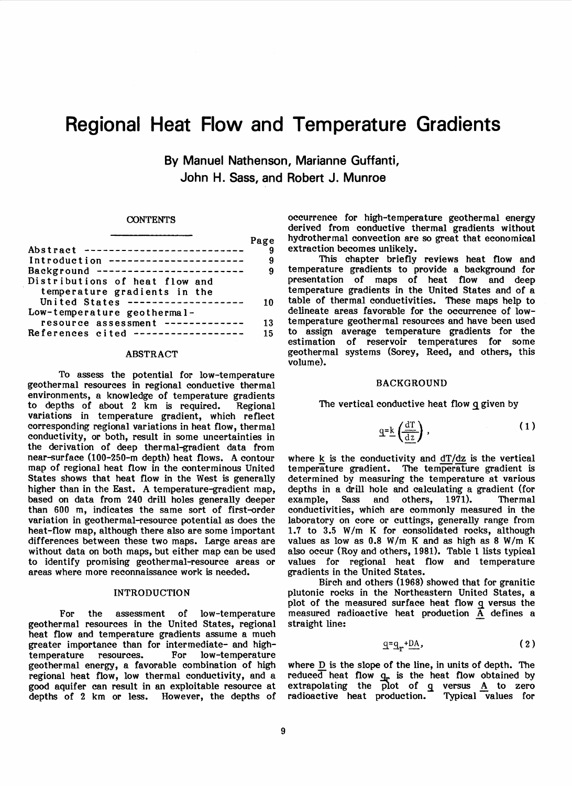# **Regional Heat Flow and Temperature Gradients**

By Manuel Nathenson, Marianne Guffanti, John H. Sass, and Robert J. Munroe

#### **CONTENTS**

|                                          | Page |
|------------------------------------------|------|
| Abstract --------------------------      |      |
| Introduction ----------------------      |      |
| Background<br>-------------------------- |      |
| Distributions of heat flow and           |      |
| temperature gradients in the             |      |
| United States -------------------        |      |
| Low-temperature geothermal-              |      |
| resource assessment -------------        | 13   |
| References cited $---------------$       | 15   |
|                                          |      |

#### ABSTRACT

To assess the potential for low-temperature geothermal resources in regional conductive thermal environments, a knowledge of temperature gradients to depths of about 2 km is required. Regional variations in temperature gradient, which reflect corresponding regional variations in heat flow, thermal conductivity, or both, result in some uncertainties in the derivation of deep thermal-gradient data from near-surface (100-250-m depth) heat flows. A contour map of regional heat flow in the conterminous United States shows that heat flow in the West is generally higher than in the East. A temperature-gradient map, based on data from 240 drill holes generally deeper than 600 m, indicates the same sort of first-order variation in geothermal-resource potential as does the heat-flow map, although there also are some important differences between these two maps. Large areas are without data on both maps, but either map can be used to identify promising geothermal-resource areas or areas where more reconnaissance work is needed.

### INTRODUCTION

For the assessment of low-temperature geothermal resources in the United States, regional heat flow and temperature gradients assume a much greater importance than for intermediate- and hightemperature resources. For low-temperature geothermal energy, a favorable combination of high regional heat flow, low thermal conductivity, and a good aquifer can result in an exploitable resource at depths of  $2 \text{ km}$  or less.

occurrence for high-temperature geothermal energy derived from conductive thermal gradients without hydrothermal convection are so great that economical extraction becomes unlikely.

This chapter briefly reviews heat flow and temperature gradients to provide a background for presentation of maps of heat flow and deep temperature gradients in the United States and of a table of thermal conductivities. These maps help to delineate areas favorable for the occurrence of lowtemperature geothermal resources and have been used to assign average temperature gradients for the geothermal systems (Sorey, Reed, and others, this volume).

#### BACKGROUND

The vertical conductive heat flow q given by

$$
\underline{q} = \underline{k} \left( \frac{d\Gamma}{dz} \right), \tag{1}
$$

where  $k$  is the conductivity and  $dT/dz$  is the vertical temperature gradient. The temperature gradient is determined by measuring the temperature at various depths in a drill hole and calculating a gradient (for example, Sass and others, 1971). Thermal example, conductivities, which are commonly measured in the laboratory on core or cuttings, generally range from 1.7 to 3.5 W/m K for consolidated rocks, although values as low as 0.8 W *1m* K and as high as 8 W *1m* K also occur (Roy and others, 1981). Table 1 lists typical values for regional heat flow and temperature gradients in the United States.

Birch and others (1968) showed that for granitic plutonic rocks in the Northeastern United States, a plot of the measured surface heat flow q versus the measured radioactive heat production  $\overline{A}$  defines a straight line:

$$
q = q_r + DA, \qquad (2)
$$

where  $D$  is the slope of the line, in units of depth. The reduced heat flow  $q_r$  is the heat flow obtained by extrapolating the plot of q versus A to zero radioactive heat production. Typical values for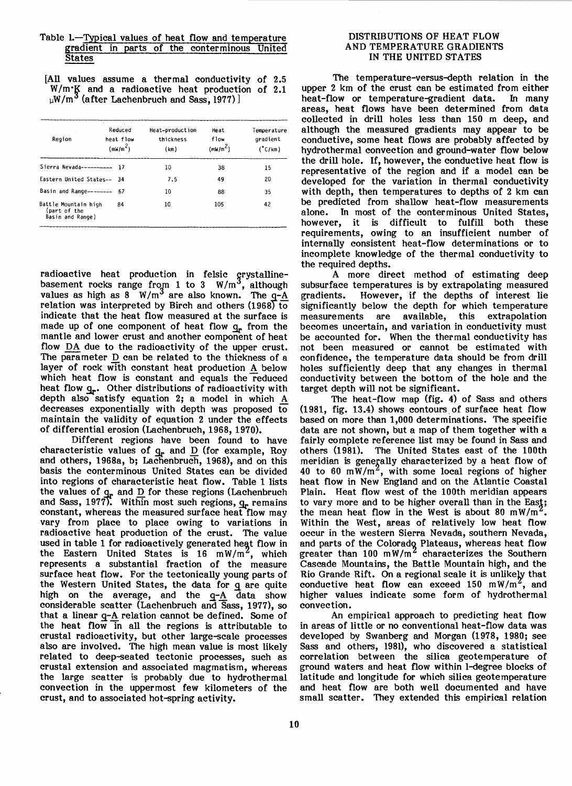### Table 1.-Typical values of heat flow and temperature gradient in parts of the conterminous United **States**

[All values assume a thermal conductivity of 2.5  $W/m$ . $K$  and a radioactive heat production of 2.1  $_{\upmu}$ W/m $^{\circ}$  (after Lachenbruch and Sass, 1977)]

| Region                                                   | Reduced<br>heat flow<br>(mN/m <sup>2</sup> ) | Heat-production<br>thickness<br>(km) | Heat<br>flow<br>(mW/m <sup>2</sup> ) | Temperature<br>gradient<br>$(^{\circ}$ C/km $)$ |
|----------------------------------------------------------|----------------------------------------------|--------------------------------------|--------------------------------------|-------------------------------------------------|
| Sierra Nevada---------- 17                               |                                              | 10                                   | 38                                   | 15                                              |
| Eastern United States-- 34                               |                                              | 7.5                                  | 49                                   | 20                                              |
| Basin and Range--------                                  | - 67                                         | 10                                   | 88                                   | 35                                              |
| Battle Mountain high<br>(part of the<br>Basin and Range) | 84                                           | 10                                   | 105                                  | 42                                              |

radioactive heat production in felsic grystallinebasement rocks range from 1 to 3 W/m<sup>3</sup>, although values as high as 8 W/m<sup>3</sup> are also known. The  $q-\underline{A}$ relation was interpreted by Birch and others  $(1968)$  to indicate that the heat flow measured at the surface is made up of one component of heat flow  $q_r$  from the mantle and lower crust and another component of heat flow DA due to the radioactivity of the upper crust. The parameter D can be related to the thickness of a layer of rock with constant heat production A below which heat flow is constant and equals the reduced heat flow  $q_r$ . Other distributions of radioactivity with depth also satisfy equation 2; a model in which  $\underline{A}$ decreases exponentially with depth was proposed to maintain the validity of equation 2 under the effects of differential erosion (Lachenbruch, 1968, 1970).

Different regions have been found to have characteristic values of  $q_r$  and  $\overline{D}$  (for example, Roy and others, 1968a, b; Lachenbruch, 1968), and on this basis the conterminous United States can be divided into regions of characteristic heat flow. Table 1 lists the values of  $q_r$  and  $\overline{D}$  for these regions (Lachenbruch and Sass, 1977). Within most such regions,  $q_r$  remains constant, whereas the measured surface heat flow may vary from place to place owing to variations in radioactive heat production of the crust. The value used in table 1 for radioactively generated heat flow in the Eastern United States is 16 mW/m<sup>2</sup>, which<br>represents a substantial fraction of the measure surface heat flow. For the tectonically young parts of the Western United States, the data for g are quite high on the average, and the  $q-A$  data show considerable scatter (Lachenbruch and Sass, 1977), so that a linear  $q-A$  relation cannot be defined. Some of the heat flow in all the regions is attributable to crustal radioactivity, but other large~cale processes also are involved. The high mean value is most likely related to deep~eated tectonic processes, such as crustal extension and associated magmatism, whereas the large scatter is probably due to hydrothermal convection in the uppermost few kilometers of the crust, and to associated hot~pring activity.

#### DISTRIBUTIONS OF HEAT FLOW AND TEMPERATURE GRADIENTS IN THE UNITED STATES

The temperature-versus-depth relation in the upper 2 km of the crust can be estimated from either<br>heat-flow or temperature-gradient data. In many heat-flow or temperature-gradient data. areas, heat flows have been determined from data collected in drill holes less than 150 m deep, and although the. measured gradients may appear to be conductive, some heat flows are probably affected by hydrothermal convection and ground-water flow below the drill hole. If, however, the conductive heat flow is representative of the region and if a model can be developed for the variation in thermal conductivity<br>with depth, then temperatures to depths of 2 km can be predicted from shallow heat-flow measurements of the conterminous United States. In most of the conterminous United States, however, it is difficult to fulfill both these requirements, owing to an insufficient number of internally consistent heat-flow determinations or to incomplete knowledge of the thermal conductivity to the required depths.

A more direct method of estimating deep subsurface temperatures is by extrapolating measured<br>gradients. However, if the depths of interest lie However, if the depths of interest lie significantly below the depth for which temperature measurements are available, this extrapolation becomes uncertain, and variation in conductivity must be accounted for. When the thermal conductivity has not been measured or cannot be estimated with confidence, the temperature data should be from drill holes sufficiently deep that any changes in thermal conductivity between the bottom of the hole and the target depth will not be significant.

The heat-flow map (fig. 4) of Sass and others  $(1981,$  fig. 13.4) shows contours of surface heat flow based on more than 1,000 determinations. The specific data are not shown, but a map of them together with a fairly complete reference list may be found in Sass and others (1981). The United States east of the 100th meridian is generally characterized by a heat flow of 40 to 60 mW/m<sup>2</sup>, with some local regions of higher heat flow in New England and on the Atlantic Coastal Plain. Heat flow west of the 100th meridian appears to vary more and to be higher overall than in the East; the mean heat flow in the West is about 80 mW/m<sup>2</sup>. Within the West, areas of relatively low heat flow occur in the western Sierra Nevada, southern Nevada, and parts of the Colorado Plateaus, whereas heat flow greater than 100 mW/m<sup>2</sup> characterizes the Southern Cascade Mountains, the Battle Mountain high, and the Rio Grande Rift. On a regional scale it is unlikely that conductive heat flow can exceed 150 *mWlm* , and higher values indicate some form of hydrothermal convection.

An empirical approach to predicting heat flow in areas of little or no conventional heat-flow data was developed by Swanberg and Morgan (1978, 1980; see Sass and others, 1981), who discovered a statistical correlation between the silica geotemperature of ground waters and heat flow within I-degree blocks of latitude and longitude for which silica geotemperature and heat flow are both well documented and have small scatter. They extended this empirical relation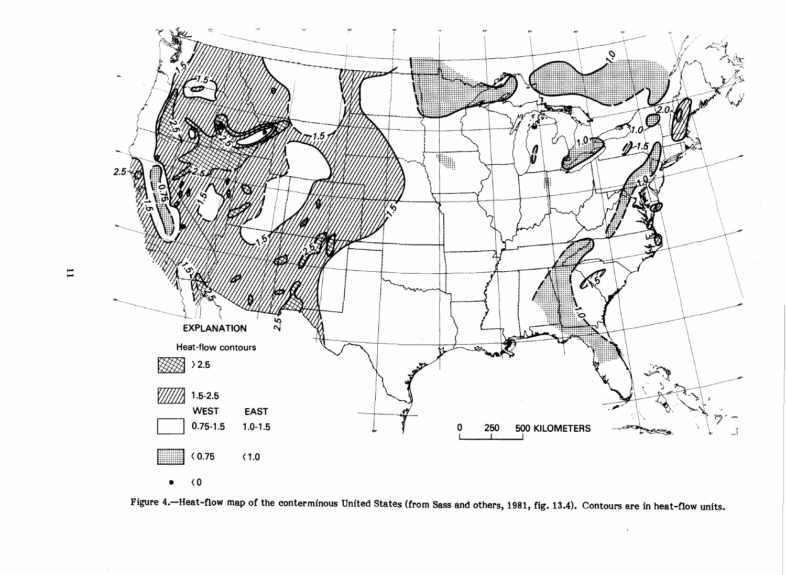

Figure 4.-Heat-flow map of the conterminous United States (from Sass and others, 1981, fig. 13.4). Contours are in heat-flow units.

 $\mathbf{I}$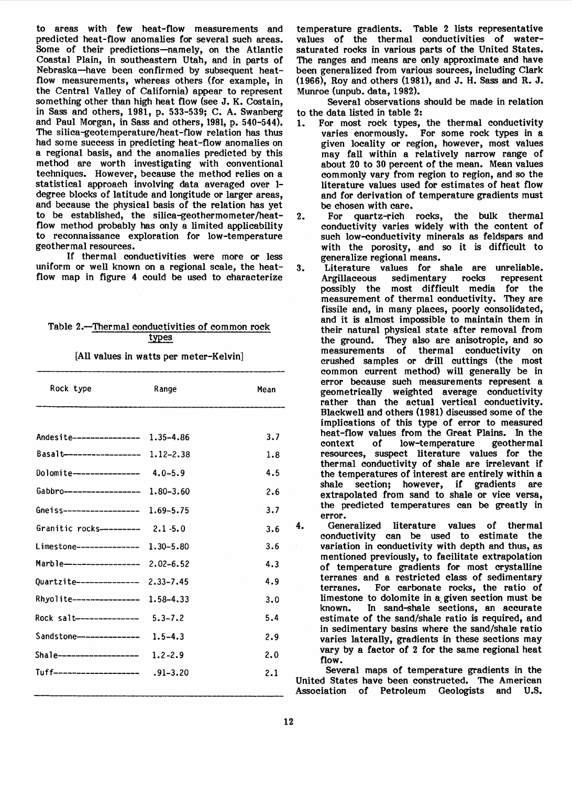to areas with few heat-flow measurements and<br>predicted heat-flow anomalies for several such areas. Some of their predictions-namely, on the Atlantic Coastal Plain, in southeastern Utah, and in parts of Nebraska-have been confirmed by subsequent heatflow measurements, whereas others (for example, in the Central Valley of California) appear to represent something other than high heat flow (see J. K. Costain, in Sass and others, 1981, p. 533-539; C. A. Swanberg and Paul Morgan, in Sass and others, 1981, p. 540-544). The silica-geotemperature/heat-flow relation has thus had some success in predicting heat-flow anomalies on a regional basis, and the anomalies predicted by this method are worth investigating with conventional techniques. However, because the method relies on a statistical approach involving data averaged over 1 degree blocks of latitude and longitude or larger areas, and because the physical basis of the relation has yet to be established, the silica-geothermometer/heatflow method probably has only a limited applicability to reconnaissance exploration for low-temperature

If thermal conductivities were more or less uniform or well known on a regional scale, the heatflow map in figure 4 could be used to characterize

# Table 2.--<u>Thermal conductivities of common rock</u><br>types

[All values in watts per meter-Kelvin]

| Rock type                          | Range         | Mean |
|------------------------------------|---------------|------|
|                                    |               |      |
| Andesite--------------- 1.35-4.86  |               | 3.7  |
| Basalt----------------- 1.12-2.38  |               | 1.8  |
| Dolomite--------------- 4.0-5.9    |               | 4.5  |
| Gabbro------------------ 1.80-3.60 |               | 2.6  |
| Gneiss------------------           | $1.69 - 5.75$ | 3.7  |
| Granitic rocks---------            | $2.1 - 5.0$   | 3.6  |
| Limestone-------------- 1.30-5.80  |               | 3.6  |
| Marble----------------- 2.02-6.52  |               | 4.3  |
| <b>Quartzite--------------</b>     | $2.33 - 7.45$ | 4.9  |
| Rhyolite----------------           | 1.58-4.33     | 3.0  |
| Rock salt---------------           | $5.3 - 7.2$   | 5.4  |
| Sandstone--------------            | $1.5 - 4.3$   | 2.9  |
| Shale------------------ 1.2-2.9    |               | 2.0  |
| Tuff-------------------- .91-3.20  |               | 2.1  |

temperature gradients. Table 2 lists representative values of the thermal conductivities of watersaturated rocks in various parts of the United States. The ranges and means are only approximate and have been generalized from various sources, including Clark (1966), Roy and others (1981), and J. H. Sass and R. J. Munroe (unpub. data, 1982).

Several observations should be made in relation to the data listed in table 2:<br>1. For most rock types,

- For most rock types, the thermal conductivity varies enormously. For some rock types in a given locality or region, however, most values may fall within a relatively narrow range of about 20 to 30 percent of the mean. Mean values commonly vary from region to region, and so the literature values used for estimates of heat flow and for derivation of temperature gradients must be chosen with care.<br>For quartz-rich
- 2. For quartz-rich rocks, the bulk thermal conductivity varies widely with the content of such low-conductivity minerals as feldspars and with the porosity, and so it is difficult to generalize regional means.
- 3. Literature values for shale are unreliable.<br>Argillaceous sedimentary rocks represent sedimentary rocks possibly the most difficult media for the measurement of thermal conductivity. They are fissile and, in many places, poorly consolidated, and it is almost impossible to maintain them in their natural physical state after removal from the ground. They also are anisotropic, and so measurements of thermal conductivity on crushed samples or drill cuttings (the most common current method) will generally be in error because such measurements represent a geometrically weighted average conductivity rather than the actual vertical conductivity. Blackwell and others (1981) discussed some of the implications of this type of error to measured heat-flow values from the Great Plains. In the context of low-temperature geothermal low-temperature resources, suspect literature values for the thermal conductivity of shale are irrelevant if the temperatures of interest are entirely within a shale section; however, if gradients are extrapolated from sand to shale or vice versa, the predicted temperatures can be greatly in

4. Generalized literature values of thermal conductivity can be used to estimate the variation in conductivity with depth and thus, as mentioned previously, to facilitate extrapolation of temperature gradients for most crystalline terranes and a restricted class of sedimentary terranes. For carbonate rocks, the ratio of limestone to dolomite in a given section must be<br>known. In sand-shale sections, an accurate In sand-shale sections, an accurate estimate of the sand/shale ratio is required, and in sedimentary basins where the sand/shale ratio varies laterally, gradients in these sections may vary by a factor of 2 for the same regional heat flow.

Several maps of temperature gradients in the United States have been constructed. The American Association of Petroleum Geologists and U.S.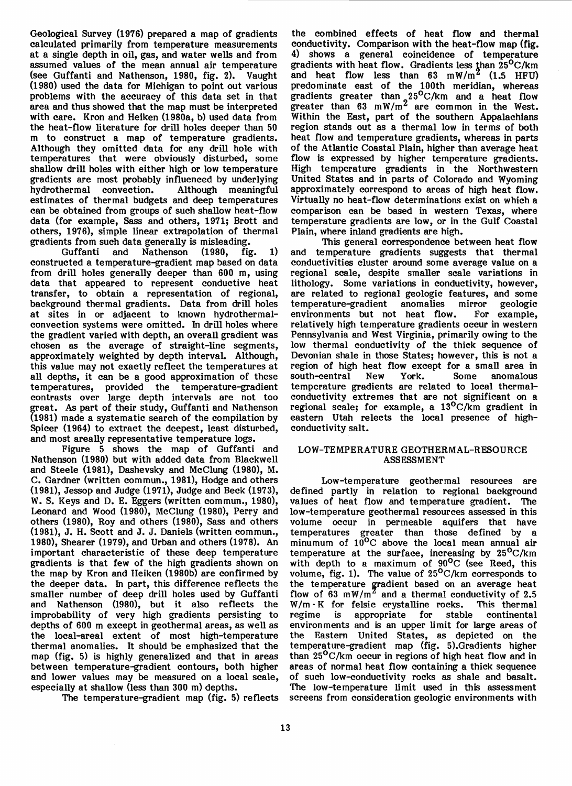Geological Survey (1976) prepared a map of gradients calculated primarily from temperature measurements at a single depth in oil, gas, and water wells and from assumed values of the mean annual air temperature (see Guffanti and Nathenson, 1980, fig. 2). Vaught (1980) used the data for Michigan to point out various problems with the accuracy of this data set in that area and thus showed that the map must be interpreted with care. Kron and Heiken (1980a, b) used data from the heat-flow literature for drill holes deeper than 50 m to construct a map of temperature gradients. Although they omitted data for any drill hole with temperatures that were obviously disturbed, some shallow drill holes with either high or low temperature gradients are most probably influenced by underlying hydrothermal convection. estimates of thermal budgets and deep temperatures can be obtained from groups of such shallow heat-flow data (for example, Sass and others, 1971; Brott and others, 1976), simple linear extrapolation of thermal gradients from such data generally is misleading.

Nathenson  $(1980, \text{fig. } 1)$ constructed a temperature-gradient map based on data from drill holes generally deeper than 600 m, using data that appeared to represent conductive heat transfer, to obtain a representation of regional, background thermal gradients. Data from drill holes at sites in or adjacent to known hydrothermalconvection systems were omitted. In drill holes where the gradient varied with depth, an overall gradient was chosen as the average of straight-line segments, approximately weighted by depth interval. Although, this value may not exactly reflect the temperatures at all depths, it can be a good approximation of these temperatures, provided the temperature-gradient contrasts over large depth intervals are not too great. As part of their study, Guffanti and Nathenson (1981) made a systematic search of the compilation by Spicer (1964) to extract the deepest, least disturbed, and most areally representative temperature logs.

Figure 5 shows the map of Guffanti and Nathenson (1980) but with added data from Blackwell and Steele (1981), Dashevsky and McClung (1980), M. C. Gardner (written commun., 1981), Hodge and others (1981), Jessop and Judge (1971), Judge and Beck (1973), W. S. Keys and D. E. Eggers (written commun., 1980), Leonard and Wood (1980), McClung (1980), Perry and others (1980), Roy and others (1980), Sass and others (1981), J. H. Scott and J. J. Daniels (written commun., 1980), Shearer (1979), and Urban and others (1978). An important characteristic of these deep temperature<br>gradients is that few of the high gradients shown on the map by Kron and Heiken (1980b) are confirmed by the deeper data. In part, this difference reflects the smaller number of deep drill holes used by Guffanti and Nathenson (1980), but it also reflects the improbability of very high gradients persisting to depths of 600 m except in geothermal areas, as well as the local-areal extent of most high-temperature thermal anomalies. It should be emphasized that the map (fig. 5) is highly generalized and that in areas between temperature-gradient contours, both higher and lower values may be measured on a local scale, especially at shallow (less than 300 m) depths.

The temperature-gradient map (fig. 5) reflects

the combined effects of heat flow and thermal conductivity. Comparison with the heat-flow map (fig. 4) shows a general coincidence of temperature gradients with heat flow. Gradients less than  $25^{0}$ C/km and heat flow less than  $63 \, \text{mW/m}^2$  (1.5 HFU) predominate east of the 100th meridian, whereas gradients greater than  $25^{\circ}$ C/km and a heat flow greater than 63 *mW/m2* are common in the West. Within the East, part of the southern Appalachians region stands out as a thermal low in terms of both heat flow and temperature gradients, whereas in parts of the Atlantic Coastal Plain, higher than average heat flow is expressed by higher temperature gradients. High temperature gradients in the Northwestern United States and in parts of Colorado and Wyoming approximately correspond to areas of high heat flow. Virtually no heat-flow determinations exist on which a comparison can be based in western Texas, where temperature gradients are low, or in the Gulf Coastal Plain, where inland gradients are high.

This general correspondence between heat flow and temperature gradients suggests that thermal conductivities cluster around some average value on a regional scale, despite smaller scale variations in are related to regional geologic features, and some<br>temperature-gradient anomalies mirror geologic temperature-gradient anomalies mirror geologic environments but not heat flow. relatively high temperature gradients occur in western Pennsylvania and West Virginia, primarily owing to the low thermal conductivity of the thick sequence of Devonian shale in those States; however, this is not a region of high heat flow except for a small area in<br>south-central New York. Some anomalous south-central temperature gradients are related to local thermalregional scale; for example, a  $13^{\circ}$ C/km gradient in eastern Utah relects the local presence of highconductivity salt.

## LOW-TEMPERATURE GEOTHERMAL-RESOURCE ASSESSMENT

Low-temperature geothermal resources are defined partly in relation to regional background values of heat flow and temperature gradient. The low-temperature geothermal resources assessed in this volume occur in permeable aquifers that have temperatures greater than those defined by a minumum of  $10^{0}$ C above the local mean annual air temperature at the surface, increasing by  $25^{\circ}$ C/km with depth to a maximum of  $90^{\circ}$ C (see Reed, this volume, fig. 1). The value of  $25^{\circ}$ C/km corresponds to the temperature gradient based on an average heat flow of 63  $mW/m^2$  and a thermal conductivity of 2.5 W/m · K for felsic crystalline rocks. This thermal regime is appropriate for stable continental appropriate environments and is an upper limit for large areas of the Eastern United States, as depicted on the temperature-gradient map (fig. 5).Gradients higher than  $25^{\circ}$ C/km occur in regions of high heat flow and in areas of normal heat flow containing a thick sequence of such low-conductivity rocks as shale and basalt.<br>The low-temperature limit used in this assessment screens from consideration geologic environments with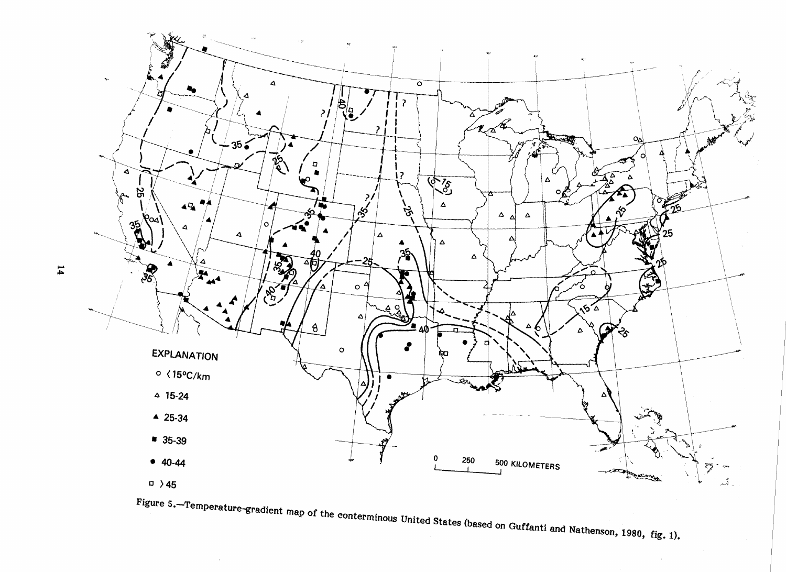

14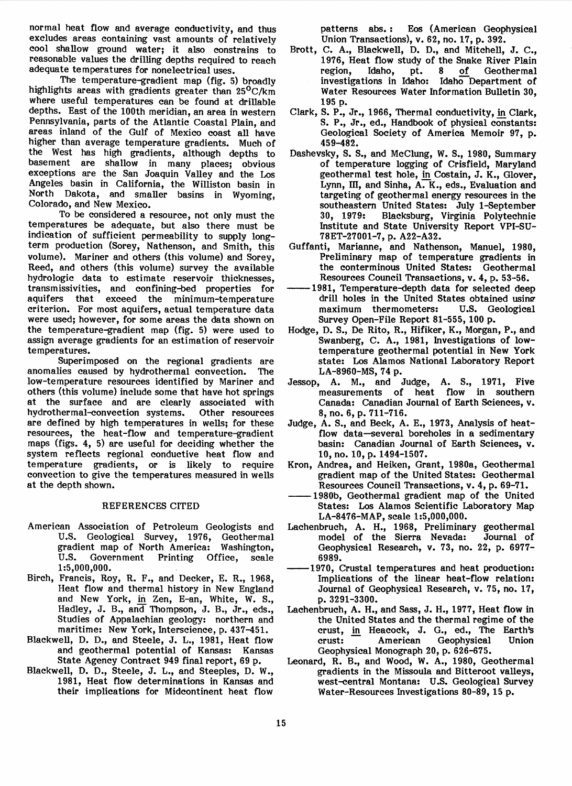normal heat flow and average conductivity, and thus excludes areas containing vast amounts of relatively cool shallow ground water; it also constrains to reasonable values the drilling depths required to reach adequate temperatures for nonelectrical uses.

The temperature-gradient map (fig. 5) broadly highlights areas with gradients greater than 25°C/km where useful temperatures can be found at drillable depths. East of the 100th meridian, an area in western Pennsylvania, parts of the Atlantic Coastal Plain, and areas inland of the Gulf of Mexico coast all have higher than average temperature gradients. Much of the West has high gradients, although depths to basement are shallow in many places; obvious exceptions are the San Joaquin Valley and the Los Angeles basin in California, the Williston basin in North Dakota, and smaller basins in Wyoming, Colorado, and New Mexico.

To be considered a resource, not only must the temperatures be adequate, but also there must be indication of sufficient permeability to supply longterm production (Sorey, Nathenson, and Smith, this volume). Mariner and others (this volume) and Sorey, Reed, and others (this volume) survey the available hydrologic data to estimate reservoir thicknesses, transmissivities, and confining-bed properties for that exceed the minimum-temperature criterion. For most aquifers, actual temperature data were used; however, for some areas the data shown on the temperature-gradient map (fig.  $5$ ) were used to assign average gradients for an estimation of reservoir temperatures.

Superimposed on the regional gradients are anomalies caused by hydrothermal convection. The low-temperature resources identified by Mariner and others (this volume) include some that have hot springs at the surface and are clearly associated with<br>hydrothermal-convection systems. Other resources hydrothermal-convection systems. are defined by high temperatures in wells; for these resources, the heat-flow and temperature-gradient maps (figs. 4, 5) are useful for deciding whether the system reflects regional conductive heat flow and temperature gradients, or is likely to require convection to give the temperatures measured in wells at the depth shown.

#### REFERENCES CITED

- American Association of Petroleum Geologists and U.S. Geological Survey, 1976, Geothermal<br>gradient map of North America: Washington, gradient map of North America: Wash<br>U.S. Government Printing Office, Government Printing Office, scale 1 :5,000 ,000.
- Birch, Francis, Roy, R. F., and Decker, E. R., 1968, Heat flow and thermal history in New England and New York, in Zen, E-an, White, W. S., Hadley, J. B., and Thompson, J. B., Jr., eds., Studies of Appalachian geology: northern and maritime: New York, Interscience, p. 437-451.
- Blackwell, D. D., and Steele, J. L., 1981, Heat flow and geothermal potential of Kansas: Kansas State Agency Contract 949 final report, 69 p.
- Blackwell, D. D., Steele, J. L., and Steeples, D. W., 1981, Heat flow determinations in Kansas and their implications for Midcontinent heat flow

patterns abs.: Eos (American Geophysical Union Transactions), v. 62, no. 17, p. 392.

- Brott, C. A., Blackwell, D. D., and Mitchell, J. C., 1976, Heat flow study of the Snake River Plain<br>region, Idaho, pt. 8 of Geothermal region, Idaho, pt. 8 of Geothermal investigations in Idaho: Idaho Department of Water Resources Water Information Bulletin 30, 195 p.
- Clark, S. P., Jr., 1966, Thermal conductivity, in Clark, S. P., Jr., ed., Handbook of physical constants: Geological Society of America Memoir 97, p. 459-482.
- Dashevsky, S. S., and McClung, W. S., 1980, Summary of temperature logging of Crisfield, Maryland geothermal test hole, in Costain, J. K., Glover, Lynn, III, and Sinha, A. K., eds., Evaluation and targeting of geothermal energy resources in the southeastern United States: July 1–September<br>30, 1979: Blacksburg, Virginia Polytechnic Blacksburg, Virginia Polytechnic Institute and State University Report VPI-SU-78ET-27001-7, p. A22-A32.
- Guffanti, Marianne, and Nathenson, Manuel, 1980, Preliminary map of temperature gradients in the conterminous United States: Geothermal Resources Council Transactions, v. 4, p. 53-56.
- -1981, Temperature-depth data for selected deep drill holes in the United States obtained using-<br>maximum thermometers: U.S. Geological maximum thermometers: Survey Open-File Report 81-555, 100 p.
- Hodge, D. S., De Rito, R., Hifiker, K., Morgan, P., and Swanberg, C. A., 1981, Investigations of lowtemperature geothermal potential in New York state: Los Alamos National Laboratory Report LA-8960-MS, 74 p.
- Jessop, A. M., and Judge, A. S., 1971, Five measurements of heat flow in southern Canada: Canadian Journal of Earth Sciences, v. 8, no. 6, p. 711-716.
- Judge, A. S., and Beck, A. E., 1973, Analysis of heatflow data-several boreholes in a sedimentary basin: Canadian Journal of Earth Sciences, v. 10, no. 10, p. 1494-1507.
- Kron, Andrea, and Heiken, Grant, 1980a, Geothermal gradient map of the United States: Geothermal Resources Council Transactions, v. 4, p. 69-71.
- 1980b, Geothermal gradient map of the United States: Los Alamos Scientific Laboratory Map LA-8476-MAP, scale 1:5,000,000.
- Lachenbruch, A. H., 1968, Preliminary geothermal model of the Sierra Nevada: Geophysical Research, v. 73, no. 22, p. 6977- 6989.
- -1970, Crustal temperatures and heat production: Implications of the linear heat-flow relation: Journal of Geophysical Research, v. 75, no. 17, p. 3291-3300.
- Lachenbruch, A. H., and Sass, J. H., 1977, Heat flow in the United States and the thermal regime of the crust, in Heacock, J. G., ed., The Earth's<br>crust: American Geophysical Union Geophysical Geophysical Monograph 20, p. 626-675.
- Leonard, R. B., and Wood, W. A., 1980, Geothermal gradients in the Missoula and Bitteroot valleys, west-central Montana: U.S. Geological Survey Water-Resources Investigations 80-89, 15 p.